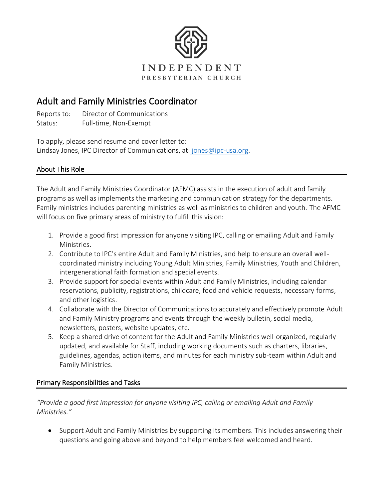

# Adult and Family Ministries Coordinator

Reports to: Director of Communications

Status: Full-time, Non-Exempt

To apply, please send resume and cover letter to: Lindsay Jones, IPC Director of Communications, at [ljones@ipc-usa.org.](mailto:ljones@ipc-usa.org)

## About This Role

The Adult and Family Ministries Coordinator (AFMC) assists in the execution of adult and family programs as well as implements the marketing and communication strategy for the departments. Family ministries includes parenting ministries as well as ministries to children and youth. The AFMC will focus on five primary areas of ministry to fulfill this vision:

- 1. Provide a good first impression for anyone visiting IPC, calling or emailing Adult and Family Ministries.
- 2. Contribute to IPC's entire Adult and Family Ministries, and help to ensure an overall wellcoordinated ministry including Young Adult Ministries, Family Ministries, Youth and Children, intergenerational faith formation and special events.
- 3. Provide support for special events within Adult and Family Ministries, including calendar reservations, publicity, registrations, childcare, food and vehicle requests, necessary forms, and other logistics.
- 4. Collaborate with the Director of Communications to accurately and effectively promote Adult and Family Ministry programs and events through the weekly bulletin, social media, newsletters, posters, website updates, etc.
- 5. Keep a shared drive of content for the Adult and Family Ministries well-organized, regularly updated, and available for Staff, including working documents such as charters, libraries, guidelines, agendas, action items, and minutes for each ministry sub-team within Adult and Family Ministries.

## Primary Responsibilities and Tasks

*"Provide a good first impression for anyone visiting IPC, calling or emailing Adult and Family Ministries."*

• Support Adult and Family Ministries by supporting its members. This includes answering their questions and going above and beyond to help members feel welcomed and heard.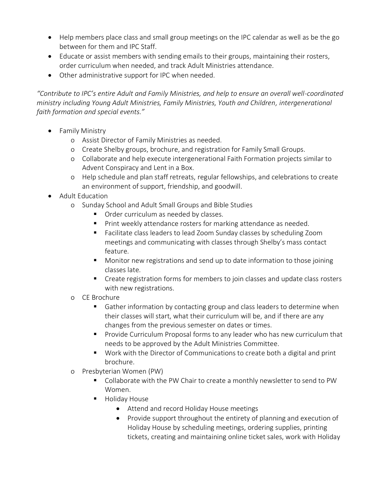- Help members place class and small group meetings on the IPC calendar as well as be the go between for them and IPC Staff.
- Educate or assist members with sending emails to their groups, maintaining their rosters, order curriculum when needed, and track Adult Ministries attendance.
- Other administrative support for IPC when needed.

*"Contribute to IPC's entire Adult and Family Ministries, and help to ensure an overall well-coordinated ministry including Young Adult Ministries, Family Ministries, Youth and Children, intergenerational faith formation and special events."*

- Family Ministry
	- o Assist Director of Family Ministries as needed.
	- o Create Shelby groups, brochure, and registration for Family Small Groups.
	- o Collaborate and help execute intergenerational Faith Formation projects similar to Advent Conspiracy and Lent in a Box.
	- o Help schedule and plan staff retreats, regular fellowships, and celebrations to create an environment of support, friendship, and goodwill.
- Adult Education
	- o Sunday School and Adult Small Groups and Bible Studies
		- Order curriculum as needed by classes.
		- Print weekly attendance rosters for marking attendance as needed.
		- Facilitate class leaders to lead Zoom Sunday classes by scheduling Zoom meetings and communicating with classes through Shelby's mass contact feature.
		- Monitor new registrations and send up to date information to those joining classes late.
		- Create registration forms for members to join classes and update class rosters with new registrations.
	- o CE Brochure
		- Gather information by contacting group and class leaders to determine when their classes will start, what their curriculum will be, and if there are any changes from the previous semester on dates or times.
		- **•** Provide Curriculum Proposal forms to any leader who has new curriculum that needs to be approved by the Adult Ministries Committee.
		- Work with the Director of Communications to create both a digital and print brochure.
	- o Presbyterian Women (PW)
		- Collaborate with the PW Chair to create a monthly newsletter to send to PW Women.
		- Holiday House
			- Attend and record Holiday House meetings
			- Provide support throughout the entirety of planning and execution of Holiday House by scheduling meetings, ordering supplies, printing tickets, creating and maintaining online ticket sales, work with Holiday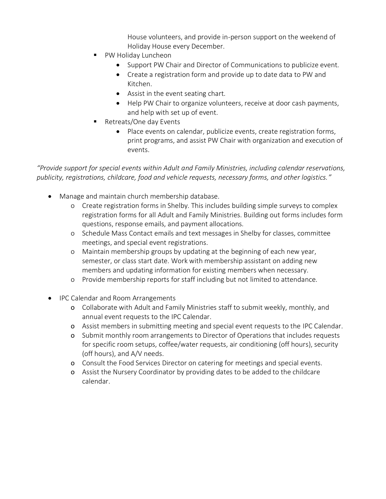House volunteers, and provide in-person support on the weekend of Holiday House every December.

- PW Holiday Luncheon
	- Support PW Chair and Director of Communications to publicize event.
	- Create a registration form and provide up to date data to PW and Kitchen.
	- Assist in the event seating chart.
	- Help PW Chair to organize volunteers, receive at door cash payments, and help with set up of event.
- Retreats/One day Events
	- Place events on calendar, publicize events, create registration forms, print programs, and assist PW Chair with organization and execution of events.

*"Provide support for special events within Adult and Family Ministries, including calendar reservations, publicity, registrations, childcare, food and vehicle requests, necessary forms, and other logistics."*

- Manage and maintain church membership database.
	- o Create registration forms in Shelby. This includes building simple surveys to complex registration forms for all Adult and Family Ministries. Building out forms includes form questions, response emails, and payment allocations.
	- o Schedule Mass Contact emails and text messages in Shelby for classes, committee meetings, and special event registrations.
	- o Maintain membership groups by updating at the beginning of each new year, semester, or class start date. Work with membership assistant on adding new members and updating information for existing members when necessary.
	- o Provide membership reports for staff including but not limited to attendance.
- IPC Calendar and Room Arrangements
	- o Collaborate with Adult and Family Ministries staff to submit weekly, monthly, and annual event requests to the IPC Calendar.
	- o Assist members in submitting meeting and special event requests to the IPC Calendar.
	- o Submit monthly room arrangements to Director of Operations that includes requests for specific room setups, coffee/water requests, air conditioning (off hours), security (off hours), and A/V needs.
	- o Consult the Food Services Director on catering for meetings and special events.
	- o Assist the Nursery Coordinator by providing dates to be added to the childcare calendar.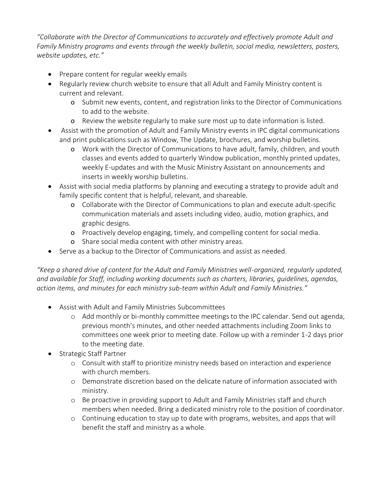*"Collaborate with the Director of Communications to accurately and effectively promote Adult and Family Ministry programs and events through the weekly bulletin, social media, newsletters, posters, website updates, etc."*

- Prepare content for regular weekly emails
- Regularly review church website to ensure that all Adult and Family Ministry content is current and relevant.
	- o Submit new events, content, and registration links to the Director of Communications to add to the website.
	- o Review the website regularly to make sure most up to date information is listed.
- Assist with the promotion of Adult and Family Ministry events in IPC digital communications and print publications such as Window, The Update, brochures, and worship bulletins.
	- o Work with the Director of Communications to have adult, family, children, and youth classes and events added to quarterly Window publication, monthly printed updates, weekly E-updates and with the Music Ministry Assistant on announcements and inserts in weekly worship bulletins.
- Assist with social media platforms by planning and executing a strategy to provide adult and family specific content that is helpful, relevant, and shareable.
	- o Collaborate with the Director of Communications to plan and execute adult-specific communication materials and assets including video, audio, motion graphics, and graphic designs.
	- o Proactively develop engaging, timely, and compelling content for social media.
	- o Share social media content with other ministry areas.
- Serve as a backup to the Director of Communications and assist as needed.

*"Keep a shared drive of content for the Adult and Family Ministries well-organized, regularly updated, and available for Staff, including working documents such as charters, libraries, guidelines, agendas, action items, and minutes for each ministry sub-team within Adult and Family Ministries."*

- Assist with Adult and Family Ministries Subcommittees
	- o Add monthly or bi-monthly committee meetings to the IPC calendar. Send out agenda, previous month's minutes, and other needed attachments including Zoom links to committees one week prior to meeting date. Follow up with a reminder 1-2 days prior to the meeting date.
- Strategic Staff Partner
	- o Consult with staff to prioritize ministry needs based on interaction and experience with church members.
	- o Demonstrate discretion based on the delicate nature of information associated with ministry.
	- o Be proactive in providing support to Adult and Family Ministries staff and church members when needed. Bring a dedicated ministry role to the position of coordinator.
	- o Continuing education to stay up to date with programs, websites, and apps that will benefit the staff and ministry as a whole.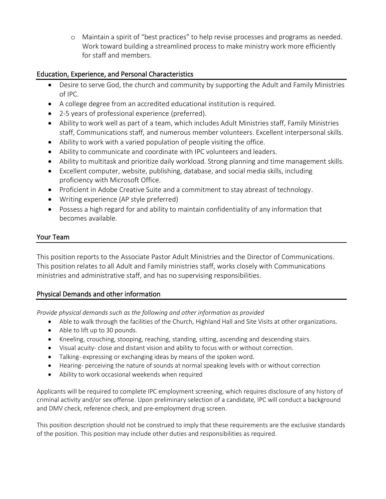o Maintain a spirit of "best practices" to help revise processes and programs as needed. Work toward building a streamlined process to make ministry work more efficiently for staff and members.

## Education, Experience, and Personal Characteristics

- Desire to serve God, the church and community by supporting the Adult and Family Ministries of IPC.
- A college degree from an accredited educational institution is required.
- 2-5 years of professional experience (preferred).
- Ability to work well as part of a team, which includes Adult Ministries staff, Family Ministries staff, Communications staff, and numerous member volunteers. Excellent interpersonal skills.
- Ability to work with a varied population of people visiting the office.
- Ability to communicate and coordinate with IPC volunteers and leaders.
- Ability to multitask and prioritize daily workload. Strong planning and time management skills.
- Excellent computer, website, publishing, database, and social media skills, including proficiency with Microsoft Office.
- Proficient in Adobe Creative Suite and a commitment to stay abreast of technology.
- Writing experience (AP style preferred)
- Possess a high regard for and ability to maintain confidentiality of any information that becomes available.

#### Your Team

This position reports to the Associate Pastor Adult Ministries and the Director of Communications. This position relates to all Adult and Family ministries staff, works closely with Communications ministries and administrative staff, and has no supervising responsibilities.

### Physical Demands and other information

*Provide physical demands such as the following and other information as provided*

- Able to walk through the facilities of the Church, Highland Hall and Site Visits at other organizations.
- Able to lift up to 30 pounds.
- Kneeling, crouching, stooping, reaching, standing, sitting, ascending and descending stairs.
- Visual acuity- close and distant vision and ability to focus with or without correction.
- Talking- expressing or exchanging ideas by means of the spoken word.
- Hearing- perceiving the nature of sounds at normal speaking levels with or without correction
- Ability to work occasional weekends when required

Applicants will be required to complete IPC employment screening, which requires disclosure of any history of criminal activity and/or sex offense. Upon preliminary selection of a candidate, IPC will conduct a background and DMV check, reference check, and pre-employment drug screen.

This position description should not be construed to imply that these requirements are the exclusive standards of the position. This position may include other duties and responsibilities as required.